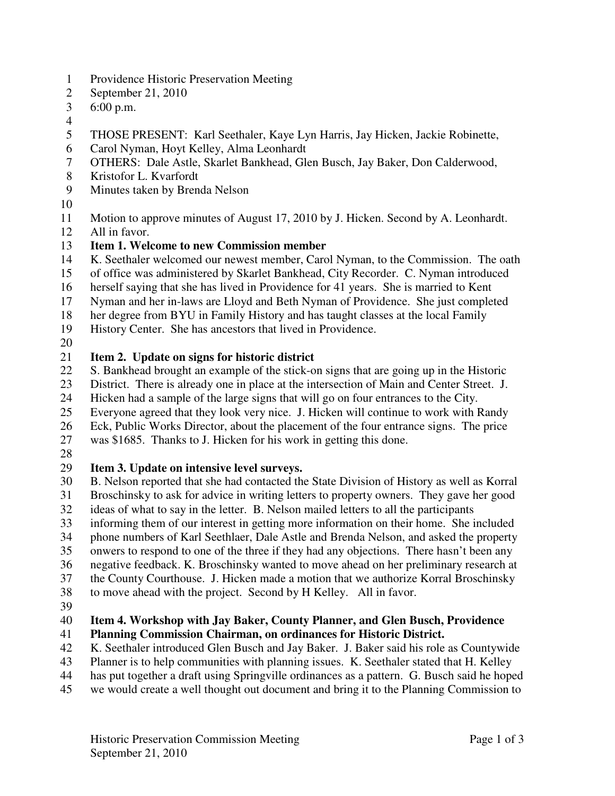- 1 Providence Historic Preservation Meeting
- 2 September 21, 2010
- 3 6:00 p.m.
- 4
- 5 THOSE PRESENT: Karl Seethaler, Kaye Lyn Harris, Jay Hicken, Jackie Robinette,
- 6 Carol Nyman, Hoyt Kelley, Alma Leonhardt
- 7 OTHERS: Dale Astle, Skarlet Bankhead, Glen Busch, Jay Baker, Don Calderwood,
- 8 Kristofor L. Kvarfordt
- 9 Minutes taken by Brenda Nelson
- 10
- 11 Motion to approve minutes of August 17, 2010 by J. Hicken. Second by A. Leonhardt.
- 12 All in favor.
- 13 **Item 1. Welcome to new Commission member**
- 14 K. Seethaler welcomed our newest member, Carol Nyman, to the Commission. The oath
- 15 of office was administered by Skarlet Bankhead, City Recorder. C. Nyman introduced
- 16 herself saying that she has lived in Providence for 41 years. She is married to Kent
- 17 Nyman and her in-laws are Lloyd and Beth Nyman of Providence. She just completed
- 18 her degree from BYU in Family History and has taught classes at the local Family
- 19 History Center. She has ancestors that lived in Providence.
- 20

## 21 **Item 2. Update on signs for historic district**

- 22 S. Bankhead brought an example of the stick-on signs that are going up in the Historic
- 23 District. There is already one in place at the intersection of Main and Center Street. J.
- 24 Hicken had a sample of the large signs that will go on four entrances to the City.
- 25 Everyone agreed that they look very nice. J. Hicken will continue to work with Randy
- 26 Eck, Public Works Director, about the placement of the four entrance signs. The price
- 27 was \$1685. Thanks to J. Hicken for his work in getting this done.
- 28

## 29 **Item 3. Update on intensive level surveys.**

- 30 B. Nelson reported that she had contacted the State Division of History as well as Korral 31 Broschinsky to ask for advice in writing letters to property owners. They gave her good<br>32 ideas of what to sav in the letter. B. Nelson mailed letters to all the participants ideas of what to say in the letter. B. Nelson mailed letters to all the participants
- 33 informing them of our interest in getting more information on their home. She included
- 34 phone numbers of Karl Seethlaer, Dale Astle and Brenda Nelson, and asked the property
- 35 onwers to respond to one of the three if they had any objections. There hasn't been any
- 36 negative feedback. K. Broschinsky wanted to move ahead on her preliminary research at
- 37 the County Courthouse. J. Hicken made a motion that we authorize Korral Broschinsky
- 38 to move ahead with the project. Second by H Kelley. All in favor.
- 39

# 40 **Item 4. Workshop with Jay Baker, County Planner, and Glen Busch, Providence**

# 41 **Planning Commission Chairman, on ordinances for Historic District.**

- 42 K. Seethaler introduced Glen Busch and Jay Baker. J. Baker said his role as Countywide
- 43 Planner is to help communities with planning issues. K. Seethaler stated that H. Kelley
- 44 has put together a draft using Springville ordinances as a pattern. G. Busch said he hoped
- 45 we would create a well thought out document and bring it to the Planning Commission to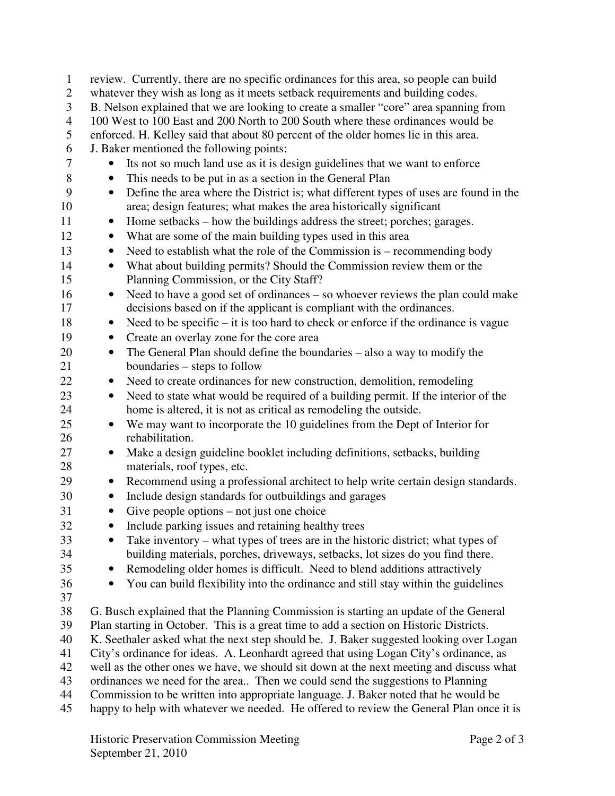1 review. Currently, there are no specific ordinances for this area, so people can build 2 whatever they wish as long as it meets setback requirements and building codes. 3 B. Nelson explained that we are looking to create a smaller "core" area spanning from 4 100 West to 100 East and 200 North to 200 South where these ordinances would be 5 enforced. H. Kelley said that about 80 percent of the older homes lie in this area. 6 J. Baker mentioned the following points: 7 • Its not so much land use as it is design guidelines that we want to enforce 8 • This needs to be put in as a section in the General Plan 9 • Define the area where the District is; what different types of uses are found in the 10 area; design features; what makes the area historically significant 11 • Home setbacks – how the buildings address the street; porches; garages. 12 • What are some of the main building types used in this area 13 • Need to establish what the role of the Commission is – recommending body 14 • What about building permits? Should the Commission review them or the 15 Planning Commission, or the City Staff? 16 • Need to have a good set of ordinances – so whoever reviews the plan could make 17 decisions based on if the applicant is compliant with the ordinances. 18 • Need to be specific – it is too hard to check or enforce if the ordinance is vague 19 • Create an overlay zone for the core area 20 • The General Plan should define the boundaries – also a way to modify the 21 boundaries – steps to follow 22 • Need to create ordinances for new construction, demolition, remodeling 23 • Need to state what would be required of a building permit. If the interior of the 24 home is altered, it is not as critical as remodeling the outside. 25 • We may want to incorporate the 10 guidelines from the Dept of Interior for 26 rehabilitation. 27 • Make a design guideline booklet including definitions, setbacks, building 28 materials, roof types, etc. 29 • Recommend using a professional architect to help write certain design standards. 30 • Include design standards for outbuildings and garages 31 • Give people options – not just one choice 32 • Include parking issues and retaining healthy trees 33 • Take inventory – what types of trees are in the historic district; what types of 34 building materials, porches, driveways, setbacks, lot sizes do you find there. 35 • Remodeling older homes is difficult. Need to blend additions attractively 36 • You can build flexibility into the ordinance and still stay within the guidelines 37 38 G. Busch explained that the Planning Commission is starting an update of the General 39 Plan starting in October. This is a great time to add a section on Historic Districts. 40 K. Seethaler asked what the next step should be. J. Baker suggested looking over Logan 41 City's ordinance for ideas. A. Leonhardt agreed that using Logan City's ordinance, as 42 well as the other ones we have, we should sit down at the next meeting and discuss what 43 ordinances we need for the area.. Then we could send the suggestions to Planning 44 Commission to be written into appropriate language. J. Baker noted that he would be 45 happy to help with whatever we needed. He offered to review the General Plan once it is